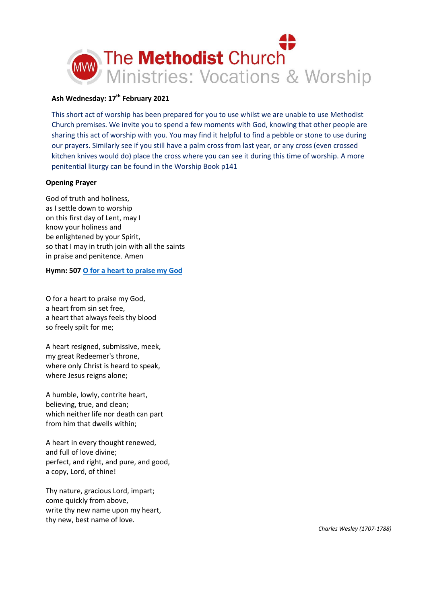

# **Ash Wednesday: 17th February 2021**

This short act of worship has been prepared for you to use whilst we are unable to use Methodist Church premises. We invite you to spend a few moments with God, knowing that other people are sharing this act of worship with you. You may find it helpful to find a pebble or stone to use during our prayers. Similarly see if you still have a palm cross from last year, or any cross (even crossed kitchen knives would do) place the cross where you can see it during this time of worship. A more penitential liturgy can be found in the Worship Book p141

### **Opening Prayer**

God of truth and holiness, as I settle down to worship on this first day of Lent, may I know your holiness and be enlightened by your Spirit, so that I may in truth join with all the saints in praise and penitence. Amen

#### **Hymn: 50[7 O for a heart to praise my God](https://www.youtube.com/watch?v=GqXhyObHgJg)**

O for a heart to praise my God, a heart from sin set free, a heart that always feels thy blood so freely spilt for me;

A heart resigned, submissive, meek, my great Redeemer's throne, where only Christ is heard to speak, where Jesus reigns alone;

A humble, lowly, contrite heart, believing, true, and clean; which neither life nor death can part from him that dwells within;

A heart in every thought renewed, and full of love divine; perfect, and right, and pure, and good, a copy, Lord, of thine!

Thy nature, gracious Lord, impart; come quickly from above, write thy new name upon my heart, thy new, best name of love.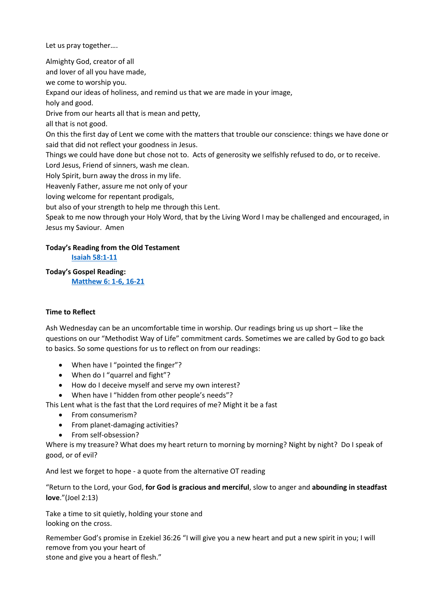Let us pray together….

Almighty God, creator of all and lover of all you have made, we come to worship you. Expand our ideas of holiness, and remind us that we are made in your image, holy and good. Drive from our hearts all that is mean and petty, all that is not good. On this the first day of Lent we come with the matters that trouble our conscience: things we have done or said that did not reflect your goodness in Jesus. Things we could have done but chose not to. Acts of generosity we selfishly refused to do, or to receive. Lord Jesus, Friend of sinners, wash me clean. Holy Spirit, burn away the dross in my life. Heavenly Father, assure me not only of your loving welcome for repentant prodigals, but also of your strength to help me through this Lent. Speak to me now through your Holy Word, that by the Living Word I may be challenged and encouraged, in Jesus my Saviour. Amen

## **Today's Reading from the Old Testament [Isaiah 58:1-11](https://www.biblegateway.com/passage/?search=Isaiah+58%3A1-11&version=NIV)**

**Today's Gospel Reading:** 

**[Matthew 6: 1-6, 16-21](https://www.biblegateway.com/passage/?search=Matthew+6%3A+1-6%2C+16-21&version=NIV)**

# **Time to Reflect**

Ash Wednesday can be an uncomfortable time in worship. Our readings bring us up short – like the questions on our "Methodist Way of Life" commitment cards. Sometimes we are called by God to go back to basics. So some questions for us to reflect on from our readings:

- When have I "pointed the finger"?
- When do I "quarrel and fight"?
- How do I deceive myself and serve my own interest?
- When have I "hidden from other people's needs"?

This Lent what is the fast that the Lord requires of me? Might it be a fast

- From consumerism?
- From planet-damaging activities?
- From self-obsession?

Where is my treasure? What does my heart return to morning by morning? Night by night? Do I speak of good, or of evil?

And lest we forget to hope - a quote from the alternative OT reading

"Return to the Lord, your God, **for God is gracious and merciful**, slow to anger and **abounding in steadfast love**."(Joel 2:13)

Take a time to sit quietly, holding your stone and looking on the cross.

Remember God's promise in Ezekiel 36:26 "I will give you a new heart and put a new spirit in you; I will remove from you your heart of

stone and give you a heart of flesh."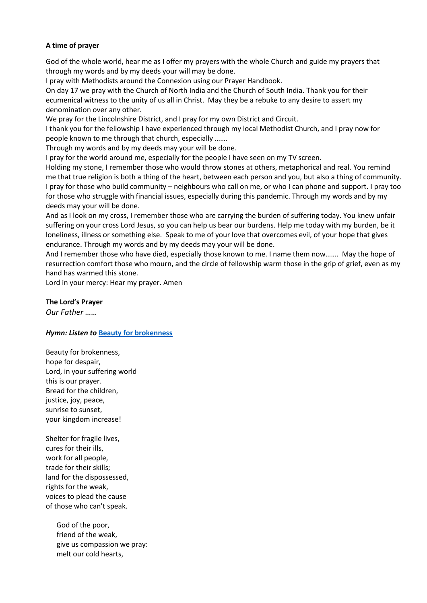## **A time of prayer**

God of the whole world, hear me as I offer my prayers with the whole Church and guide my prayers that through my words and by my deeds your will may be done.

I pray with Methodists around the Connexion using our Prayer Handbook.

On day 17 we pray with the Church of North India and the Church of South India. Thank you for their ecumenical witness to the unity of us all in Christ. May they be a rebuke to any desire to assert my denomination over any other.

We pray for the Lincolnshire District, and I pray for my own District and Circuit.

I thank you for the fellowship I have experienced through my local Methodist Church, and I pray now for people known to me through that church, especially …….

Through my words and by my deeds may your will be done.

I pray for the world around me, especially for the people I have seen on my TV screen.

Holding my stone, I remember those who would throw stones at others, metaphorical and real. You remind me that true religion is both a thing of the heart, between each person and you, but also a thing of community. I pray for those who build community – neighbours who call on me, or who I can phone and support. I pray too for those who struggle with financial issues, especially during this pandemic. Through my words and by my deeds may your will be done.

And as I look on my cross, I remember those who are carrying the burden of suffering today. You knew unfair suffering on your cross Lord Jesus, so you can help us bear our burdens. Help me today with my burden, be it loneliness, illness or something else. Speak to me of your love that overcomes evil, of your hope that gives endurance. Through my words and by my deeds may your will be done.

And I remember those who have died, especially those known to me. I name them now……. May the hope of resurrection comfort those who mourn, and the circle of fellowship warm those in the grip of grief, even as my hand has warmed this stone.

Lord in your mercy: Hear my prayer. Amen

#### **The Lord's Prayer**

*Our Father ……*

### *Hymn: Listen to* **[Beauty for brokenness](https://www.youtube.com/watch?v=ZqDOXfj9W0w)**

Beauty for brokenness, hope for despair, Lord, in your suffering world this is our prayer. Bread for the children, justice, joy, peace, sunrise to sunset, your kingdom increase!

Shelter for fragile lives, cures for their ills, work for all people, trade for their skills; land for the dispossessed, rights for the weak, voices to plead the cause of those who can't speak.

> God of the poor, friend of the weak, give us compassion we pray: melt our cold hearts,